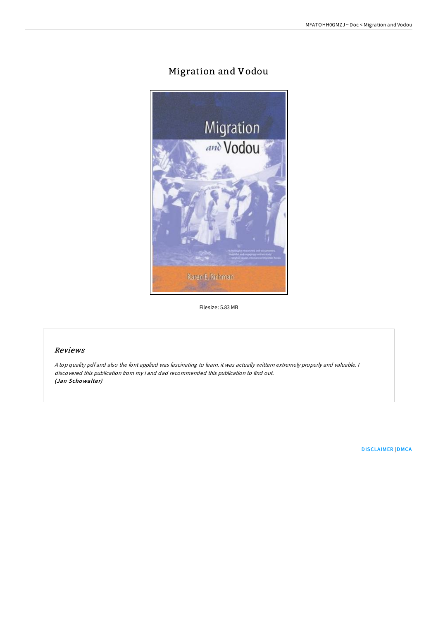# Migration and Vodou



Filesize: 5.83 MB

## Reviews

<sup>A</sup> top quality pdf and also the font applied was fascinating to learn. it was actually writtern extremely properly and valuable. <sup>I</sup> discovered this publication from my i and dad recommended this publication to find out. (Jan Schowalter)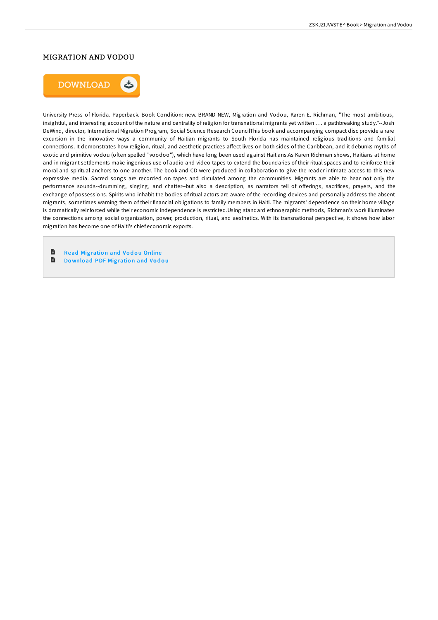### MIGRATION AND VODOU



University Press of Florida. Paperback. Book Condition: new. BRAND NEW, Migration and Vodou, Karen E. Richman, "The most ambitious, insightful, and interesting account of the nature and centrality of religion for transnational migrants yet written . . . a pathbreaking study."--Josh DeWind, director, International Migration Program, Social Science Research CouncilThis book and accompanying compact disc provide a rare excursion in the innovative ways a community of Haitian migrants to South Florida has maintained religious traditions and familial connections. It demonstrates how religion, ritual, and aesthetic practices affect lives on both sides of the Caribbean, and it debunks myths of exotic and primitive vodou (often spelled "voodoo"), which have long been used against Haitians.As Karen Richman shows, Haitians at home and in migrant settlements make ingenious use of audio and video tapes to extend the boundaries of their ritual spaces and to reinforce their moral and spiritual anchors to one another. The book and CD were produced in collaboration to give the reader intimate access to this new expressive media. Sacred songs are recorded on tapes and circulated among the communities. Migrants are able to hear not only the performance sounds--drumming, singing, and chatter--but also a description, as narrators tell of offerings, sacrifices, prayers, and the exchange of possessions. Spirits who inhabit the bodies of ritual actors are aware of the recording devices and personally address the absent migrants, sometimes warning them of their financial obligations to family members in Haiti. The migrants' dependence on their home village is dramatically reinforced while their economic independence is restricted.Using standard ethnographic methods, Richman's work illuminates the connections among social organization, power, production, ritual, and aesthetics. With its transnational perspective, it shows how labor migration has become one of Haiti's chief economic exports.

旨 **Read Migration and Vodou [Online](http://almighty24.tech/migration-and-vodou.html)** 

B Download PDF Mig[ratio](http://almighty24.tech/migration-and-vodou.html)n and Vodou